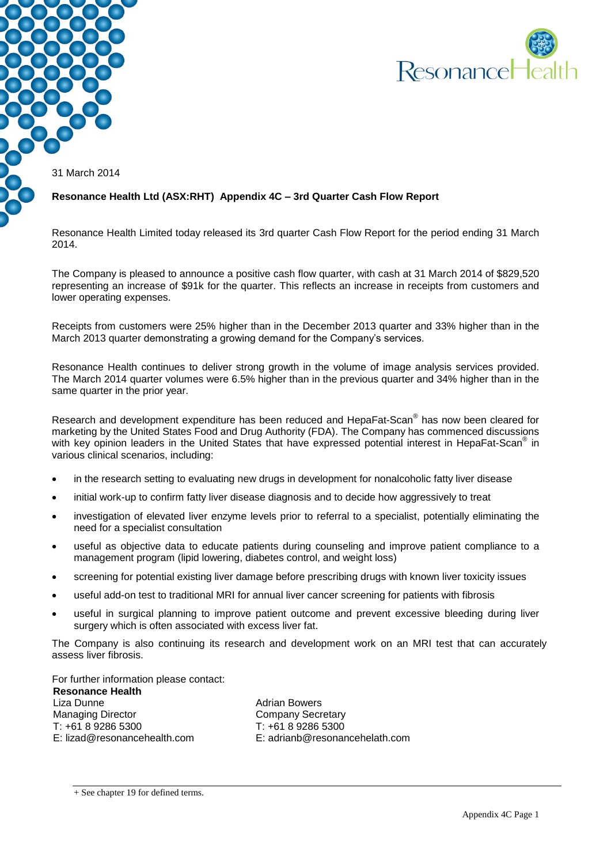

31 March 2014

#### **Resonance Health Ltd (ASX:RHT) Appendix 4C – 3rd Quarter Cash Flow Report**

Resonance Health Limited today released its 3rd quarter Cash Flow Report for the period ending 31 March 2014.

The Company is pleased to announce a positive cash flow quarter, with cash at 31 March 2014 of \$829,520 representing an increase of \$91k for the quarter. This reflects an increase in receipts from customers and lower operating expenses.

Receipts from customers were 25% higher than in the December 2013 quarter and 33% higher than in the March 2013 quarter demonstrating a growing demand for the Company's services.

Resonance Health continues to deliver strong growth in the volume of image analysis services provided. The March 2014 quarter volumes were 6.5% higher than in the previous quarter and 34% higher than in the same quarter in the prior year.

Research and development expenditure has been reduced and HepaFat-Scan® has now been cleared for marketing by the United States Food and Drug Authority (FDA). The Company has commenced discussions with key opinion leaders in the United States that have expressed potential interest in HepaFat-Scan<sup>®</sup> in various clinical scenarios, including:

- in the research setting to evaluating new drugs in development for nonalcoholic fatty liver disease
- initial work-up to confirm fatty liver disease diagnosis and to decide how aggressively to treat
- investigation of elevated liver enzyme levels prior to referral to a specialist, potentially eliminating the need for a specialist consultation
- useful as objective data to educate patients during counseling and improve patient compliance to a management program (lipid lowering, diabetes control, and weight loss)
- screening for potential existing liver damage before prescribing drugs with known liver toxicity issues
- useful add-on test to traditional MRI for annual liver cancer screening for patients with fibrosis
- useful in surgical planning to improve patient outcome and prevent excessive bleeding during liver surgery which is often associated with excess liver fat.

The Company is also continuing its research and development work on an MRI test that can accurately assess liver fibrosis.

For further information please contact:

**Resonance Health** Liza Dunne Managing Director T: +61 8 9286 5300 E: lizad@resonancehealth.com

Adrian Bowers Company Secretary T: +61 8 9286 5300 E: adrianb@resonancehelath.com

<sup>+</sup> See chapter 19 for defined terms.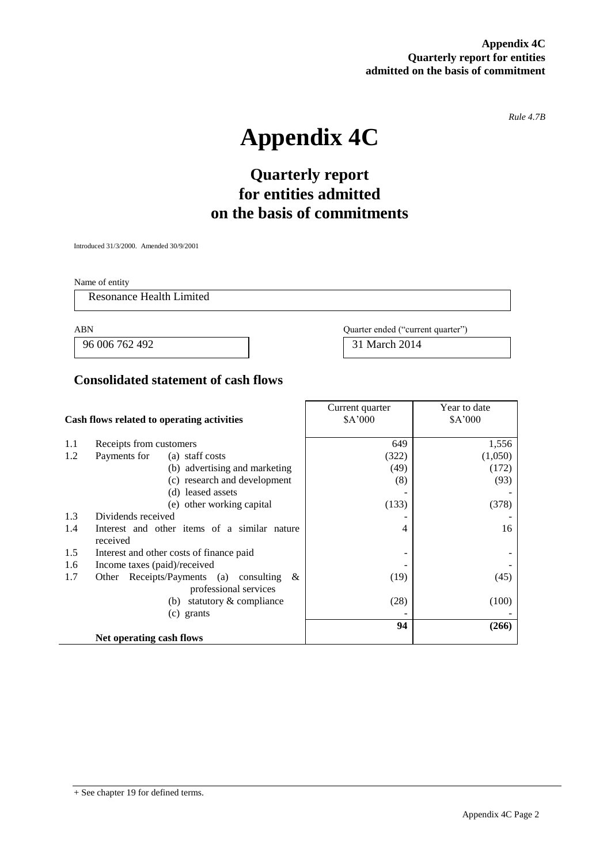**Appendix 4C Quarterly report for entities admitted on the basis of commitment**

*Rule 4.7B*

# **Appendix 4C**

# **Quarterly report for entities admitted on the basis of commitments**

Introduced 31/3/2000. Amended 30/9/2001

Name of entity

Resonance Health Limited

96 006 762 492 31 March 2014

ABN Quarter ended ("current quarter")

#### **Consolidated statement of cash flows**

|                                            |                                                | Current quarter | Year to date |
|--------------------------------------------|------------------------------------------------|-----------------|--------------|
| Cash flows related to operating activities |                                                | \$A'000         | \$A'000      |
|                                            |                                                |                 |              |
| 1.1                                        | Receipts from customers                        | 649             | 1,556        |
| 1.2                                        | (a) staff costs<br>Payments for                | (322)           | (1,050)      |
|                                            | (b) advertising and marketing                  | (49)            | (172)        |
|                                            | (c) research and development                   | (8)             | (93)         |
|                                            | (d) leased assets                              |                 |              |
|                                            | (e) other working capital                      | (133)           | (378)        |
| 1.3                                        | Dividends received                             |                 |              |
| 1.4                                        | Interest and other items of a similar nature   | 4               | 16           |
|                                            | received                                       |                 |              |
| 1.5                                        | Interest and other costs of finance paid       |                 |              |
| 1.6                                        | Income taxes (paid)/received                   |                 |              |
| 1.7                                        | Receipts/Payments (a) consulting $\&$<br>Other | (19)            | (45)         |
|                                            | professional services                          |                 |              |
|                                            | (b) statutory $&$ compliance                   | (28)            | (100)        |
|                                            | (c) grants                                     |                 |              |
|                                            |                                                | 94              | (266)        |
|                                            | Net operating cash flows                       |                 |              |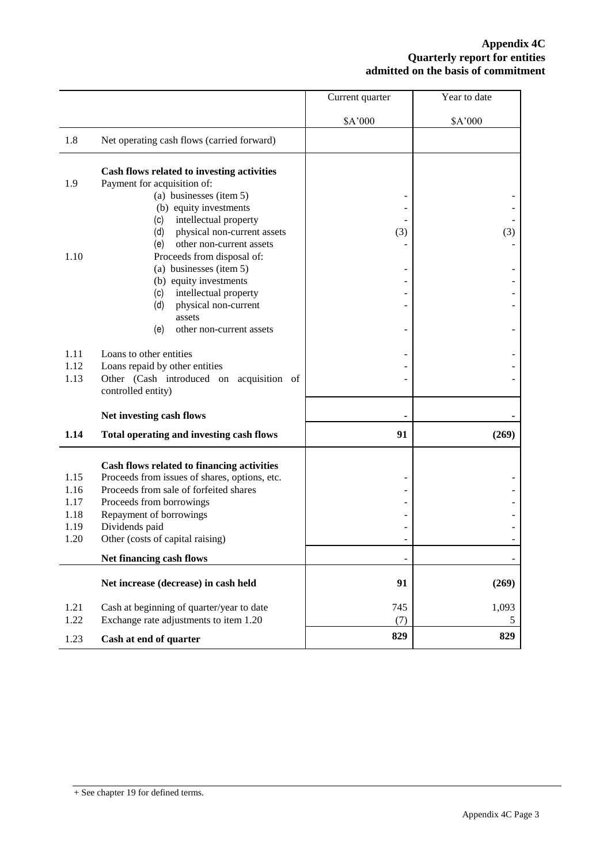#### **Appendix 4C Quarterly report for entities admitted on the basis of commitment**

|      |                                                                | Current quarter | Year to date |
|------|----------------------------------------------------------------|-----------------|--------------|
|      |                                                                | \$A'000         | \$A'000      |
| 1.8  | Net operating cash flows (carried forward)                     |                 |              |
|      | Cash flows related to investing activities                     |                 |              |
| 1.9  | Payment for acquisition of:                                    |                 |              |
|      | (a) businesses (item 5)                                        |                 |              |
|      | (b) equity investments                                         |                 |              |
|      | intellectual property<br>(c)                                   |                 |              |
|      | physical non-current assets<br>(d)                             | (3)             | (3)          |
|      | other non-current assets<br>(e)                                |                 |              |
| 1.10 | Proceeds from disposal of:                                     |                 |              |
|      | (a) businesses (item 5)                                        |                 |              |
|      | (b) equity investments<br>intellectual property<br>(c)         |                 |              |
|      | (d)<br>physical non-current                                    |                 |              |
|      | assets                                                         |                 |              |
|      | (e)<br>other non-current assets                                |                 |              |
|      |                                                                |                 |              |
| 1.11 | Loans to other entities                                        |                 |              |
| 1.12 | Loans repaid by other entities                                 |                 |              |
| 1.13 | Other (Cash introduced on acquisition of<br>controlled entity) |                 |              |
|      |                                                                |                 |              |
|      | Net investing cash flows                                       | ٠               |              |
| 1.14 | Total operating and investing cash flows                       | 91              | (269)        |
|      | Cash flows related to financing activities                     |                 |              |
| 1.15 | Proceeds from issues of shares, options, etc.                  |                 |              |
| 1.16 | Proceeds from sale of forfeited shares                         |                 |              |
| 1.17 | Proceeds from borrowings                                       |                 |              |
| 1.18 | Repayment of borrowings                                        |                 |              |
| 1.19 | Dividends paid                                                 |                 |              |
| 1.20 | Other (costs of capital raising)                               |                 |              |
|      | Net financing cash flows                                       |                 |              |
|      | Net increase (decrease) in cash held                           | 91              | (269)        |
|      |                                                                |                 |              |
| 1.21 | Cash at beginning of quarter/year to date                      | 745             | 1,093        |
| 1.22 | Exchange rate adjustments to item 1.20                         | (7)             | 5            |
| 1.23 | Cash at end of quarter                                         | 829             | 829          |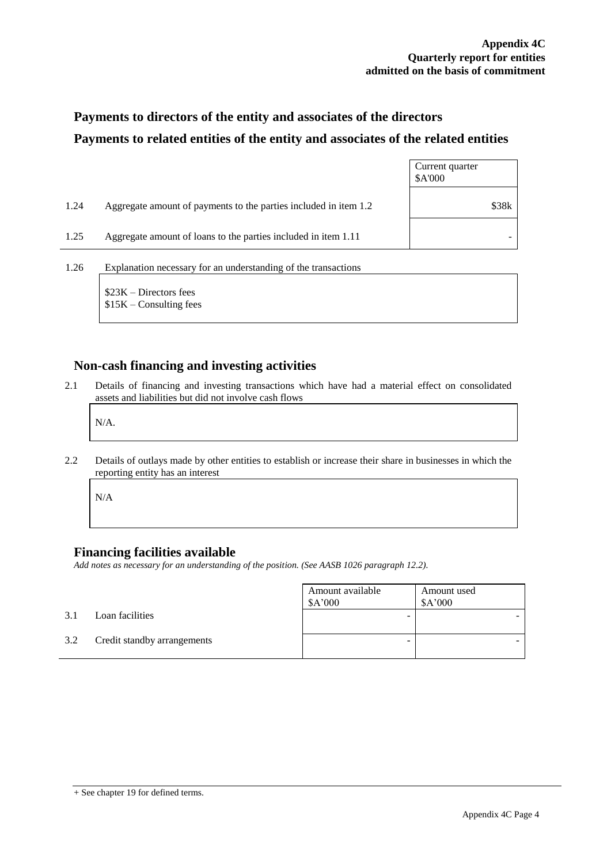## **Payments to directors of the entity and associates of the directors Payments to related entities of the entity and associates of the related entities**

|      |                                                                  | Current quarter<br>\$A'000 |
|------|------------------------------------------------------------------|----------------------------|
| 1.24 | Aggregate amount of payments to the parties included in item 1.2 | \$38k                      |
| 1.25 | Aggregate amount of loans to the parties included in item 1.11   |                            |
| 1.26 | Explanation necessary for an understanding of the transactions   |                            |

\$23K – Directors fees \$15K – Consulting fees

#### **Non-cash financing and investing activities**

2.1 Details of financing and investing transactions which have had a material effect on consolidated assets and liabilities but did not involve cash flows

N/A.

2.2 Details of outlays made by other entities to establish or increase their share in businesses in which the reporting entity has an interest

N/A

### **Financing facilities available**

*Add notes as necessary for an understanding of the position. (See AASB 1026 paragraph 12.2).*

|     |                             | Amount available<br>\$A'000 | Amount used<br>\$A'000 |
|-----|-----------------------------|-----------------------------|------------------------|
| 3.1 | Loan facilities             | -                           |                        |
| 3.2 | Credit standby arrangements | -                           |                        |